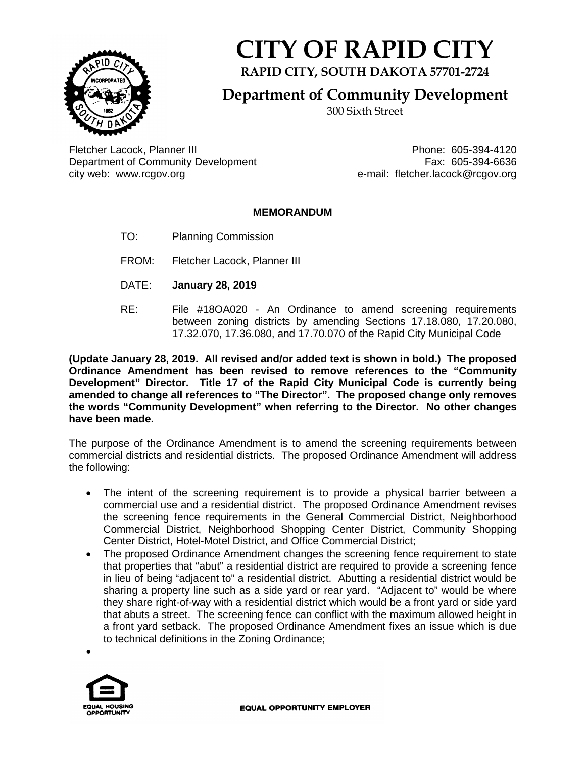

## **CITY OF RAPID CITY**

**RAPID CITY, SOUTH DAKOTA 57701-2724**

**Department of Community Development**

300 Sixth Street

Fletcher Lacock, Planner III Phone: 605-394-4120 Department of Community Development<br>city web: www.rcgov.org e-mail: fletcher.lacock@rcgov.org

e-mail: fletcher.lacock@rcgov.org

## **MEMORANDUM**

- TO: Planning Commission
- FROM: Fletcher Lacock, Planner III
- DATE: **January 28, 2019**
- RE: File #18OA020 An Ordinance to amend screening requirements between zoning districts by amending Sections 17.18.080, 17.20.080, 17.32.070, 17.36.080, and 17.70.070 of the Rapid City Municipal Code

**(Update January 28, 2019. All revised and/or added text is shown in bold.) The proposed Ordinance Amendment has been revised to remove references to the "Community Development" Director. Title 17 of the Rapid City Municipal Code is currently being amended to change all references to "The Director". The proposed change only removes the words "Community Development" when referring to the Director. No other changes have been made.**

The purpose of the Ordinance Amendment is to amend the screening requirements between commercial districts and residential districts. The proposed Ordinance Amendment will address the following:

- The intent of the screening requirement is to provide a physical barrier between a commercial use and a residential district. The proposed Ordinance Amendment revises the screening fence requirements in the General Commercial District, Neighborhood Commercial District, Neighborhood Shopping Center District, Community Shopping Center District, Hotel-Motel District, and Office Commercial District;
- The proposed Ordinance Amendment changes the screening fence requirement to state that properties that "abut" a residential district are required to provide a screening fence in lieu of being "adjacent to" a residential district. Abutting a residential district would be sharing a property line such as a side yard or rear yard. "Adjacent to" would be where they share right-of-way with a residential district which would be a front yard or side yard that abuts a street. The screening fence can conflict with the maximum allowed height in a front yard setback. The proposed Ordinance Amendment fixes an issue which is due to technical definitions in the Zoning Ordinance;



•